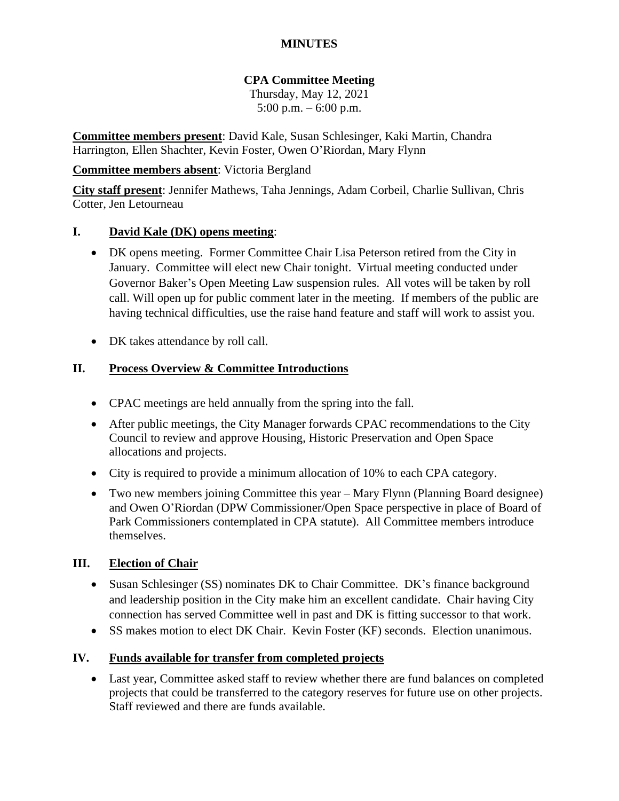## **MINUTES**

# **CPA Committee Meeting**

Thursday, May 12, 2021 5:00 p.m. – 6:00 p.m.

**Committee members present**: David Kale, Susan Schlesinger, Kaki Martin, Chandra Harrington, Ellen Shachter, Kevin Foster, Owen O'Riordan, Mary Flynn

### **Committee members absent**: Victoria Bergland

**City staff present**: Jennifer Mathews, Taha Jennings, Adam Corbeil, Charlie Sullivan, Chris Cotter, Jen Letourneau

## **I. David Kale (DK) opens meeting**:

- DK opens meeting. Former Committee Chair Lisa Peterson retired from the City in January. Committee will elect new Chair tonight. Virtual meeting conducted under Governor Baker's Open Meeting Law suspension rules. All votes will be taken by roll call. Will open up for public comment later in the meeting. If members of the public are having technical difficulties, use the raise hand feature and staff will work to assist you.
- DK takes attendance by roll call.

## **II. Process Overview & Committee Introductions**

- CPAC meetings are held annually from the spring into the fall.
- After public meetings, the City Manager forwards CPAC recommendations to the City Council to review and approve Housing, Historic Preservation and Open Space allocations and projects.
- City is required to provide a minimum allocation of 10% to each CPA category.
- Two new members joining Committee this year Mary Flynn (Planning Board designee) and Owen O'Riordan (DPW Commissioner/Open Space perspective in place of Board of Park Commissioners contemplated in CPA statute). All Committee members introduce themselves.

#### **III. Election of Chair**

- Susan Schlesinger (SS) nominates DK to Chair Committee. DK's finance background and leadership position in the City make him an excellent candidate. Chair having City connection has served Committee well in past and DK is fitting successor to that work.
- SS makes motion to elect DK Chair. Kevin Foster (KF) seconds. Election unanimous.

#### **IV. Funds available for transfer from completed projects**

• Last year, Committee asked staff to review whether there are fund balances on completed projects that could be transferred to the category reserves for future use on other projects. Staff reviewed and there are funds available.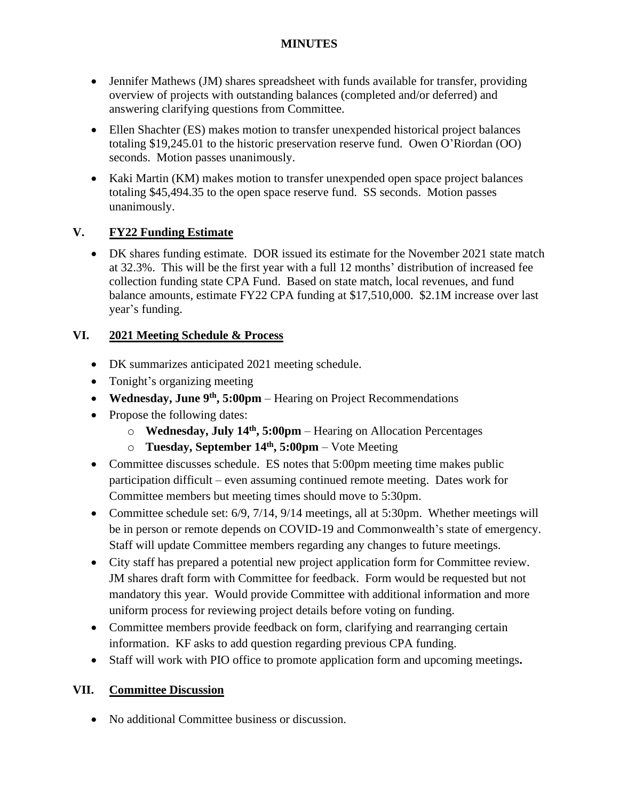## **MINUTES**

- Jennifer Mathews (JM) shares spreadsheet with funds available for transfer, providing overview of projects with outstanding balances (completed and/or deferred) and answering clarifying questions from Committee.
- Ellen Shachter (ES) makes motion to transfer unexpended historical project balances totaling \$19,245.01 to the historic preservation reserve fund. Owen O'Riordan (OO) seconds. Motion passes unanimously.
- Kaki Martin (KM) makes motion to transfer unexpended open space project balances totaling \$45,494.35 to the open space reserve fund. SS seconds. Motion passes unanimously.

# **V. FY22 Funding Estimate**

• DK shares funding estimate. DOR issued its estimate for the November 2021 state match at 32.3%. This will be the first year with a full 12 months' distribution of increased fee collection funding state CPA Fund. Based on state match, local revenues, and fund balance amounts, estimate FY22 CPA funding at \$17,510,000. \$2.1M increase over last year's funding.

# **VI. 2021 Meeting Schedule & Process**

- DK summarizes anticipated 2021 meeting schedule.
- Tonight's organizing meeting
- **Wednesday, June 9th, 5:00pm** Hearing on Project Recommendations
- Propose the following dates:
	- o **Wednesday, July 14 th, 5:00pm** Hearing on Allocation Percentages
	- o **Tuesday, September 14th, 5:00pm** Vote Meeting
- Committee discusses schedule. ES notes that 5:00pm meeting time makes public participation difficult – even assuming continued remote meeting. Dates work for Committee members but meeting times should move to 5:30pm.
- Committee schedule set: 6/9, 7/14, 9/14 meetings, all at 5:30pm. Whether meetings will be in person or remote depends on COVID-19 and Commonwealth's state of emergency. Staff will update Committee members regarding any changes to future meetings.
- City staff has prepared a potential new project application form for Committee review. JM shares draft form with Committee for feedback. Form would be requested but not mandatory this year. Would provide Committee with additional information and more uniform process for reviewing project details before voting on funding.
- Committee members provide feedback on form, clarifying and rearranging certain information. KF asks to add question regarding previous CPA funding.
- Staff will work with PIO office to promote application form and upcoming meetings**.**

# **VII. Committee Discussion**

• No additional Committee business or discussion.